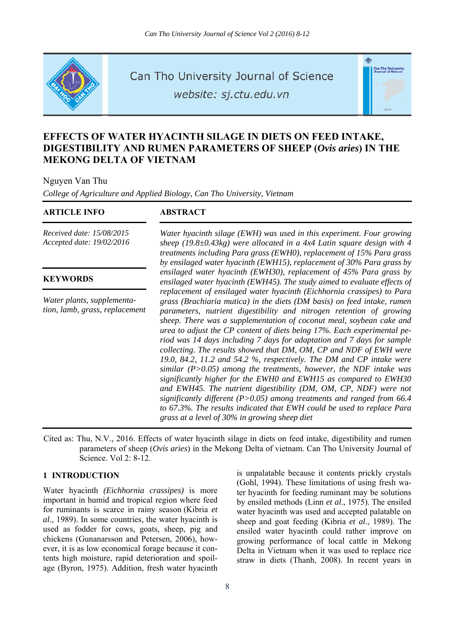

Can Tho University Journal of Science

website: sj.ctu.edu.vn

# .<br>Can Tho Universit<br>Journal of Science

# **EFFECTS OF WATER HYACINTH SILAGE IN DIETS ON FEED INTAKE, DIGESTIBILITY AND RUMEN PARAMETERS OF SHEEP (***Ovis aries***) IN THE MEKONG DELTA OF VIETNAM**

Nguyen Van Thu

*College of Agriculture and Applied Biology, Can Tho University, Vietnam* 

### **ARTICLE INFO ABSTRACT**

*Received date: 15/08/2015 Accepted date: 19/02/2016*

### **KEYWORDS**

*Water plants, supplementation, lamb, grass, replacement* *Water hyacinth silage (EWH) was used in this experiment. Four growing sheep (19.8±0.43kg) were allocated in a 4x4 Latin square design with 4 treatments including Para grass (EWH0), replacement of 15% Para grass by ensilaged water hyacinth (EWH15), replacement of 30% Para grass by ensilaged water hyacinth (EWH30), replacement of 45% Para grass by ensilaged water hyacinth (EWH45). The study aimed to evaluate effects of replacement of ensilaged water hyacinth (Eichhornia crassipes) to Para grass (Brachiaria mutica) in the diets (DM basis) on feed intake, rumen parameters, nutrient digestibility and nitrogen retention of growing sheep. There was a supplementation of coconut meal, soybean cake and urea to adjust the CP content of diets being 17%. Each experimental period was 14 days including 7 days for adaptation and 7 days for sample collecting. The results showed that DM, OM, CP and NDF of EWH were 19.0, 84.2, 11.2 and 54.2 %, respectively. The DM and CP intake were similar (P>0.05) among the treatments, however, the NDF intake was significantly higher for the EWH0 and EWH15 as compared to EWH30 and EWH45. The nutrient digestibility (DM, OM, CP, NDF) were not significantly different (P>0.05) among treatments and ranged from 66.4 to 67.3%. The results indicated that EWH could be used to replace Para grass at a level of 30% in growing sheep diet* 

Cited as: Thu, N.V., 2016. Effects of water hyacinth silage in diets on feed intake, digestibility and rumen parameters of sheep (*Ovis aries*) in the Mekong Delta of vietnam. Can Tho University Journal of Science. Vol 2: 8-12.

### **1 INTRODUCTION**

Water hyacinth *(Eichhornia crassipes)* is more important in humid and tropical region where feed for ruminants is scarce in rainy season (Kibria *et al*., 1989). In some countries, the water hyacinth is used as fodder for cows, goats, sheep, pig and chickens (Gunanarsson and Petersen, 2006), however, it is as low economical forage because it contents high moisture, rapid deterioration and spoilage (Byron, 1975). Addition, fresh water hyacinth is unpalatable because it contents prickly crystals (Gohl, 1994). These limitations of using fresh water hyacinth for feeding ruminant may be solutions by ensiled methods (Linn *et al*., 1975). The ensiled water hyacinth was used and accepted palatable on sheep and goat feeding (Kibria *et al*., 1989). The ensiled water hyacinth could rather improve on growing performance of local cattle in Mekong Delta in Vietnam when it was used to replace rice straw in diets (Thanh, 2008). In recent years in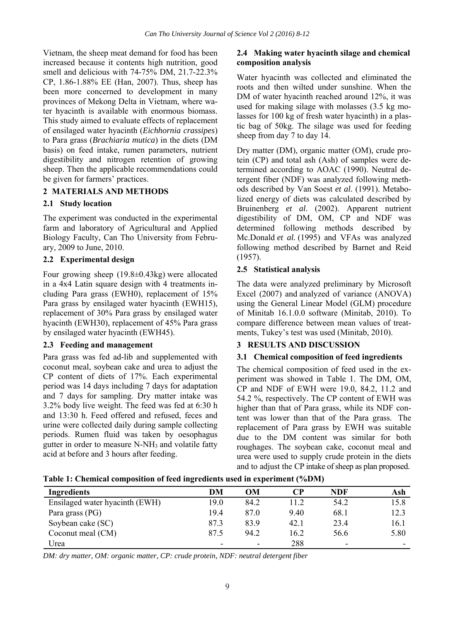Vietnam, the sheep meat demand for food has been increased because it contents high nutrition, good smell and delicious with 74-75% DM, 21.7-22.3% CP, 1.86-1.88% EE (Han, 2007). Thus, sheep has been more concerned to development in many provinces of Mekong Delta in Vietnam, where water hyacinth is available with enormous biomass. This study aimed to evaluate effects of replacement of ensilaged water hyacinth (*Eichhornia crassipes*) to Para grass (*Brachiaria mutica*) in the diets (DM basis) on feed intake, rumen parameters, nutrient digestibility and nitrogen retention of growing sheep. Then the applicable recommendations could be given for farmers' practices.

### **2 MATERIALS AND METHODS**

### **2.1 Study location**

The experiment was conducted in the experimental farm and laboratory of Agricultural and Applied Biology Faculty, Can Tho University from February, 2009 to June, 2010.

## **2.2 Experimental design**

Four growing sheep (19.8±0.43kg) were allocated in a 4x4 Latin square design with 4 treatments including Para grass (EWH0), replacement of 15% Para grass by ensilaged water hyacinth (EWH15), replacement of 30% Para grass by ensilaged water hyacinth (EWH30), replacement of 45% Para grass by ensilaged water hyacinth (EWH45).

### **2.3 Feeding and management**

Para grass was fed ad-lib and supplemented with coconut meal, soybean cake and urea to adjust the CP content of diets of 17%. Each experimental period was 14 days including 7 days for adaptation and 7 days for sampling. Dry matter intake was 3.2% body live weight. The feed was fed at 6:30 h and 13:30 h. Feed offered and refused, feces and urine were collected daily during sample collecting periods. Rumen fluid was taken by oesophagus gutter in order to measure N-NH<sub>3</sub> and volatile fatty acid at before and 3 hours after feeding.

## **2.4 Making water hyacinth silage and chemical composition analysis**

Water hyacinth was collected and eliminated the roots and then wilted under sunshine. When the DM of water hyacinth reached around 12%, it was used for making silage with molasses (3.5 kg molasses for 100 kg of fresh water hyacinth) in a plastic bag of 50kg. The silage was used for feeding sheep from day 7 to day 14.

Dry matter (DM), organic matter (OM), crude protein (CP) and total ash (Ash) of samples were determined according to AOAC (1990). Neutral detergent fiber (NDF) was analyzed following methods described by Van Soest *et al*. (1991). Metabolized energy of diets was calculated described by Bruinenberg *et al*. (2002). Apparent nutrient digestibility of DM, OM, CP and NDF was determined following methods described by Mc.Donald *et al.* (1995) and VFAs was analyzed following method described by Barnet and Reid (1957).

### **2.5 Statistical analysis**

The data were analyzed preliminary by Microsoft Excel (2007) and analyzed of variance (ANOVA) using the General Linear Model (GLM) procedure of Minitab 16.1.0.0 software (Minitab, 2010). To compare difference between mean values of treatments, Tukey's test was used (Minitab, 2010).

### **3 RESULTS AND DISCUSSION**

### **3.1 Chemical composition of feed ingredients**

The chemical composition of feed used in the experiment was showed in Table 1. The DM, OM, CP and NDF of EWH were 19.0, 84.2, 11.2 and 54.2 %, respectively. The CP content of EWH was higher than that of Para grass, while its NDF content was lower than that of the Para grass. The replacement of Para grass by EWH was suitable due to the DM content was similar for both roughages. The soybean cake, coconut meal and urea were used to supply crude protein in the diets and to adjust the CP intake of sheep as plan proposed.

|  |  |  | Table 1: Chemical composition of feed ingredients used in experiment (%DM) |  |
|--|--|--|----------------------------------------------------------------------------|--|
|--|--|--|----------------------------------------------------------------------------|--|

| Ingredients                    | DM   | OМ   | CР   | NDF  | Ash  |
|--------------------------------|------|------|------|------|------|
| Ensilaged water hyacinth (EWH) | 19.0 | 84.2 | 11.2 | 54.2 | 15.8 |
| Para grass (PG)                | 19.4 | 87.0 | 9.40 | 68.1 | 12.3 |
| Soybean cake (SC)              | 87.3 | 83.9 | 42.1 | 23.4 | 16.1 |
| Coconut meal (CM)              | 87.5 | 94.2 | 16.2 | 56.6 | 5.80 |
| Urea                           |      |      | 288  |      |      |

*DM: dry matter, OM: organic matter, CP: crude protein, NDF: neutral detergent fiber*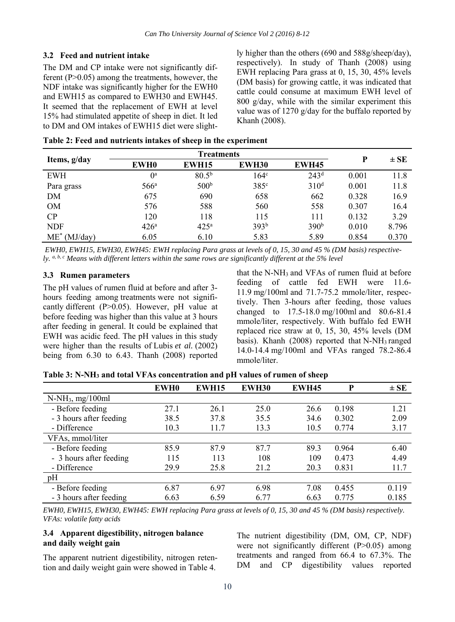### **3.2 Feed and nutrient intake**

The DM and CP intake were not significantly different (P>0.05) among the treatments, however, the NDF intake was significantly higher for the EWH0 and EWH15 as compared to EWH30 and EWH45. It seemed that the replacement of EWH at level 15% had stimulated appetite of sheep in diet. It led to DM and OM intakes of EWH15 diet were slightly higher than the others (690 and 588g/sheep/day), respectively). In study of Thanh (2008) using EWH replacing Para grass at 0, 15, 30, 45% levels (DM basis) for growing cattle, it was indicated that cattle could consume at maximum EWH level of 800 g/day, while with the similar experiment this value was of 1270 g/day for the buffalo reported by Khanh (2008).

| Table 2: Feed and nutrients intakes of sheep in the experiment |
|----------------------------------------------------------------|
|----------------------------------------------------------------|

|                    |                  | <b>Treatments</b> |                  |                  |       |          |
|--------------------|------------------|-------------------|------------------|------------------|-------|----------|
| Items, g/day       | <b>EWH0</b>      | <b>EWH15</b>      | <b>EWH30</b>     | <b>EWH45</b>     | P     | $\pm$ SE |
| <b>EWH</b>         | $0^{\rm a}$      | $80.5^{b}$        | 164 <sup>c</sup> | 243 <sup>d</sup> | 0.001 | 11.8     |
| Para grass         | $566^{\circ}$    | 500 <sup>b</sup>  | 385 <sup>c</sup> | 310 <sup>d</sup> | 0.001 | 11.8     |
| DM                 | 675              | 690               | 658              | 662              | 0.328 | 16.9     |
| <b>OM</b>          | 576              | 588               | 560              | 558              | 0.307 | 16.4     |
| CP                 | 120              | 118               | 115              | 111              | 0.132 | 3.29     |
| <b>NDF</b>         | 426 <sup>a</sup> | 425 <sup>a</sup>  | 393 <sup>b</sup> | 390 <sup>b</sup> | 0.010 | 8.796    |
| $ME^*$<br>(MJ/day) | 6.05             | 6.10              | 5.83             | 5.89             | 0.854 | 0.370    |

 *EWH0, EWH15, EWH30, EWH45: EWH replacing Para grass at levels of 0, 15, 30 and 45 % (DM basis) respectively. a, b, c Means with different letters within the same rows are significantly different at the 5% level* 

### **3.3 Rumen parameters**

The pH values of rumen fluid at before and after 3 hours feeding among treatments were not significantly different (P>0.05). However, pH value at before feeding was higher than this value at 3 hours after feeding in general. It could be explained that EWH was acidic feed. The pH values in this study were higher than the results of Lubis *et al.* (2002) being from 6.30 to 6.43. Thanh (2008) reported that the N-NH<sub>3</sub> and VFAs of rumen fluid at before feeding of cattle fed EWH were 11.6- 11.9 mg/100ml and 71.7-75.2 mmole/liter, respectively. Then 3-hours after feeding, those values changed to 17.5-18.0 mg/100ml and 80.6-81.4 mmole/liter, respectively. With buffalo fed EWH replaced rice straw at 0, 15, 30, 45% levels (DM basis). Khanh (2008) reported that N-NH3 ranged 14.0-14.4 mg/100ml and VFAs ranged 78.2-86.4 mmole/liter.

|                         | <b>EWH0</b> | <b>EWH15</b> | <b>EWH30</b> | <b>EWH45</b> | P     | $\pm$ SE |
|-------------------------|-------------|--------------|--------------|--------------|-------|----------|
| $N-NH_3$ , mg/100ml     |             |              |              |              |       |          |
| - Before feeding        | 27.1        | 26.1         | 25.0         | 26.6         | 0.198 | 1.21     |
| - 3 hours after feeding | 38.5        | 37.8         | 35.5         | 34.6         | 0.302 | 2.09     |
| - Difference            | 10.3        | 11.7         | 13.3         | 10.5         | 0.774 | 3.17     |
| VFAs, mmol/liter        |             |              |              |              |       |          |
| - Before feeding        | 85.9        | 87.9         | 87.7         | 89.3         | 0.964 | 6.40     |
| - 3 hours after feeding | 115         | 113          | 108          | 109          | 0.473 | 4.49     |
| - Difference            | 29.9        | 25.8         | 21.2         | 20.3         | 0.831 | 11.7     |
| pH                      |             |              |              |              |       |          |
| - Before feeding        | 6.87        | 6.97         | 6.98         | 7.08         | 0.455 | 0.119    |
| - 3 hours after feeding | 6.63        | 6.59         | 6.77         | 6.63         | 0.775 | 0.185    |

**Table 3: N-NH3 and total VFAs concentration and pH values of rumen of sheep** 

*EWH0, EWH15, EWH30, EWH45: EWH replacing Para grass at levels of 0, 15, 30 and 45 % (DM basis) respectively. VFAs: volatile fatty acids* 

### **3.4 Apparent digestibility, nitrogen balance and daily weight gain**

The apparent nutrient digestibility, nitrogen retention and daily weight gain were showed in Table 4.

The nutrient digestibility (DM, OM, CP, NDF) were not significantly different (P>0.05) among treatments and ranged from 66.4 to 67.3%. The DM and CP digestibility values reported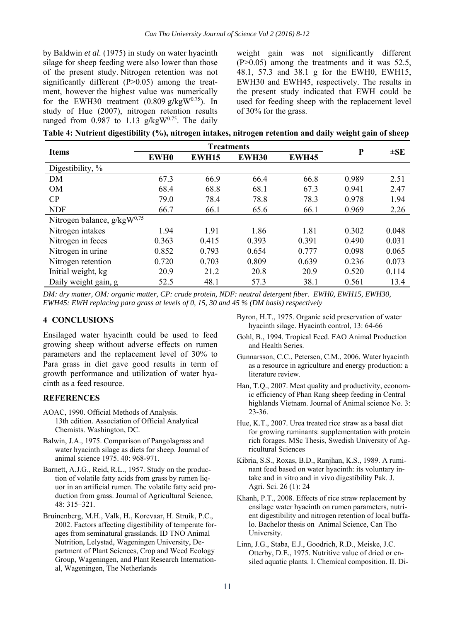by Baldwin *et al.* (1975) in study on water hyacinth silage for sheep feeding were also lower than those of the present study. Nitrogen retention was not significantly different  $(P>0.05)$  among the treatment, however the highest value was numerically for the EWH30 treatment  $(0.809 \text{ g/kgW}^{0.75})$ . In study of Hue (2007), nitrogen retention results ranged from  $0.987$  to  $1.13$  g/kgW<sup>0.75</sup>. The daily weight gain was not significantly different (P>0.05) among the treatments and it was 52.5, 48.1, 57.3 and 38.1 g for the EWH0, EWH15, EWH30 and EWH45, respectively. The results in the present study indicated that EWH could be used for feeding sheep with the replacement level of 30% for the grass.

|  | Table 4: Nutrient digestibility (%), nitrogen intakes, nitrogen retention and daily weight gain of sheep |  |  |  |  |
|--|----------------------------------------------------------------------------------------------------------|--|--|--|--|
|--|----------------------------------------------------------------------------------------------------------|--|--|--|--|

|                             |             | P            |              |              |       |          |
|-----------------------------|-------------|--------------|--------------|--------------|-------|----------|
| <b>Items</b>                | <b>EWH0</b> | <b>EWH15</b> | <b>EWH30</b> | <b>EWH45</b> |       | $\pm$ SE |
| Digestibility, %            |             |              |              |              |       |          |
| DM                          | 67.3        | 66.9         | 66.4         | 66.8         | 0.989 | 2.51     |
| <b>OM</b>                   | 68.4        | 68.8         | 68.1         | 67.3         | 0.941 | 2.47     |
| CP                          | 79.0        | 78.4         | 78.8         | 78.3         | 0.978 | 1.94     |
| <b>NDF</b>                  | 66.7        | 66.1         | 65.6         | 66.1         | 0.969 | 2.26     |
| Nitrogen balance, g/kgW0,75 |             |              |              |              |       |          |
| Nitrogen intakes            | 1.94        | 1.91         | 1.86         | 1.81         | 0.302 | 0.048    |
| Nitrogen in feces           | 0.363       | 0.415        | 0.393        | 0.391        | 0.490 | 0.031    |
| Nitrogen in urine           | 0.852       | 0.793        | 0.654        | 0.777        | 0.098 | 0.065    |
| Nitrogen retention          | 0.720       | 0.703        | 0.809        | 0.639        | 0.236 | 0.073    |
| Initial weight, kg          | 20.9        | 21.2         | 20.8         | 20.9         | 0.520 | 0.114    |
| Daily weight gain, g        | 52.5        | 48.1         | 57.3         | 38.1         | 0.561 | 13.4     |

*DM: dry matter, OM: organic matter, CP: crude protein, NDF: neutral detergent fiber. EWH0, EWH15, EWH30, EWH45: EWH replacing para grass at levels of 0, 15, 30 and 45 % (DM basis) respectively* 

### **4 CONCLUSIONS**

Ensilaged water hyacinth could be used to feed growing sheep without adverse effects on rumen parameters and the replacement level of 30% to Para grass in diet gave good results in term of growth performance and utilization of water hyacinth as a feed resource.

### **REFERENCES**

- AOAC, 1990. Official Methods of Analysis. 13th edition. Association of Official Analytical Chemists. Washington, DC.
- Balwin, J.A., 1975. Comparison of Pangolagrass and water hyacinth silage as diets for sheep. Journal of animal science 1975. 40: 968-971.
- Barnett, A.J.G., Reid, R.L., 1957. Study on the production of volatile fatty acids from grass by rumen liquor in an artificial rumen. The volatile fatty acid production from grass. Journal of Agricultural Science, 48: 315–321.
- Bruinenberg, M.H., Valk, H., Korevaar, H. Struik, P.C., 2002. Factors affecting digestibility of temperate forages from seminatural grasslands. ID TNO Animal Nutrition, Lelystad, Wageningen University, Department of Plant Sciences, Crop and Weed Ecology Group, Wageningen, and Plant Research International, Wageningen, The Netherlands
- Byron, H.T., 1975. Organic acid preservation of water hyacinth silage. Hyacinth control, 13: 64-66
- Gohl, B., 1994. Tropical Feed. FAO Animal Production and Health Series.
- Gunnarsson, C.C., Petersen, C.M., 2006. Water hyacinth as a resource in agriculture and energy production: a literature review.
- Han, T.Q., 2007. Meat quality and productivity, economic efficiency of Phan Rang sheep feeding in Central highlands Vietnam. Journal of Animal science No. 3: 23-36.
- Hue, K.T., 2007. Urea treated rice straw as a basal diet for growing ruminants: supplementation with protein rich forages. MSc Thesis, Swedish University of Agricultural Sciences
- Kibria, S.S., Roxas, B.D., Ranjhan, K.S., 1989. A ruminant feed based on water hyacinth: its voluntary intake and in vitro and in vivo digestibility Pak. J. Agri. Sci. 26 (1): 24
- Khanh, P.T., 2008. Effects of rice straw replacement by ensilage water hyacinth on rumen parameters, nutrient digestibility and nitrogen retention of local buffalo. Bachelor thesis on Animal Science, Can Tho University.
- Linn, J.G., Staba, E.J., Goodrich, R.D., Meiske, J.C. Otterby, D.E., 1975. Nutritive value of dried or ensiled aquatic plants. I. Chemical composition. II. Di-